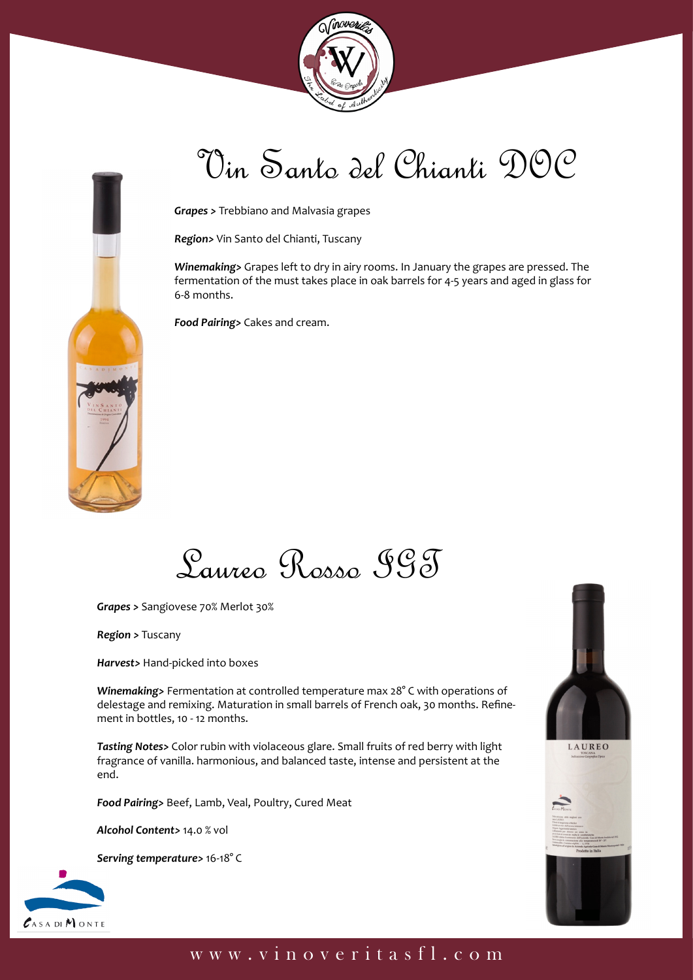



# Vin Santo del Chianti DOC

*Grapes >* Trebbiano and Malvasia grapes

*Region>* Vin Santo del Chianti, Tuscany

*Winemaking>* Grapes left to dry in airy rooms. In January the grapes are pressed. The fermentation of the must takes place in oak barrels for 4-5 years and aged in glass for 6-8 months.

*Food Pairing>* Cakes and cream.



*Grapes >* Sangiovese 70% Merlot 30%

*Region >* Tuscany

*Harvest>* Hand-picked into boxes

*Winemaking>* Fermentation at controlled temperature max 28° C with operations of delestage and remixing. Maturation in small barrels of French oak, 30 months. Refinement in bottles, 10 - 12 months.

*Tasting Notes>* Color rubin with violaceous glare. Small fruits of red berry with light fragrance of vanilla. harmonious, and balanced taste, intense and persistent at the end.

*Food Pairing>* Beef, Lamb, Veal, Poultry, Cured Meat

*Alcohol Content>* 14.0 % vol

*Serving temperature>* 16-18° C







#### www.vinoveritasfl.com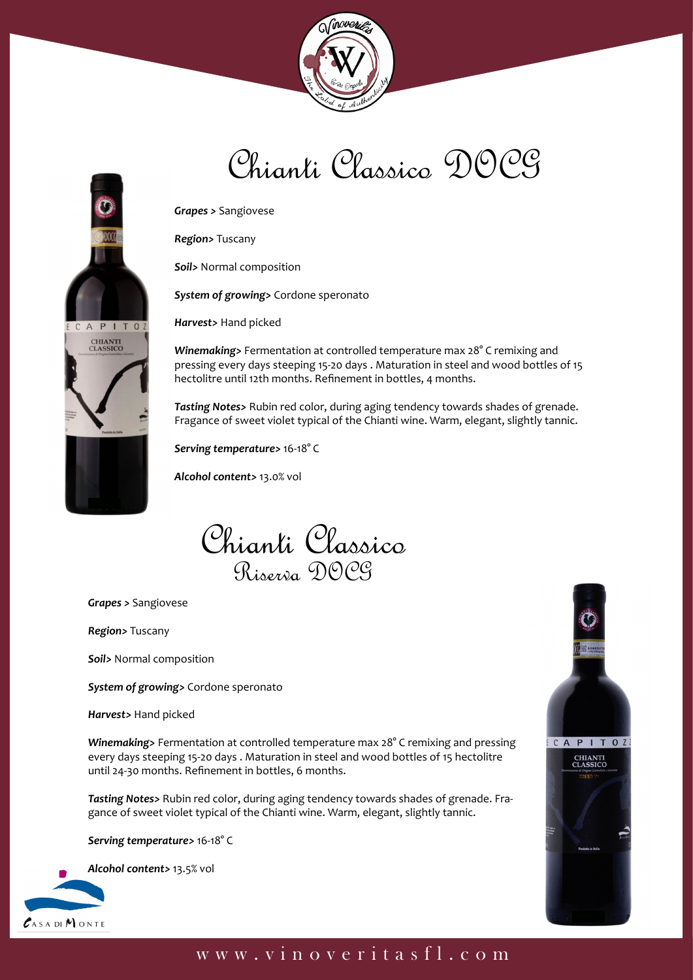

# Chianti Classico DOCG



*Region>* Tuscany

*Soil>* Normal composition

*System of growing>* Cordone speronato

*Harvest>* Hand picked

*Winemaking>* Fermentation at controlled temperature max 28° C remixing and pressing every days steeping 15-20 days . Maturation in steel and wood bottles of 15 hectolitre until 12th months. Refinement in bottles, 4 months.

*Tasting Notes>* Rubin red color, during aging tendency towards shades of grenade. Fragance of sweet violet typical of the Chianti wine. Warm, elegant, slightly tannic.

*Serving temperature>* 16-18° C

*Alcohol content>* 13.0% vol

Chianti Classico Riserva DOCG

*Grapes >* Sangiovese

*Region>* Tuscany

PITO

**CHIANTI**<br>CLASSICO

*Soil>* Normal composition

*System of growing>* Cordone speronato

*Harvest>* Hand picked

*Winemaking>* Fermentation at controlled temperature max 28° C remixing and pressing every days steeping 15-20 days . Maturation in steel and wood bottles of 15 hectolitre until 24-30 months. Refinement in bottles, 6 months.

*Tasting Notes>* Rubin red color, during aging tendency towards shades of grenade. Fragance of sweet violet typical of the Chianti wine. Warm, elegant, slightly tannic.

*Serving temperature>* 16-18° C



*Alcohol content>* 13.5% vol



#### www.vinoveritasfl.com